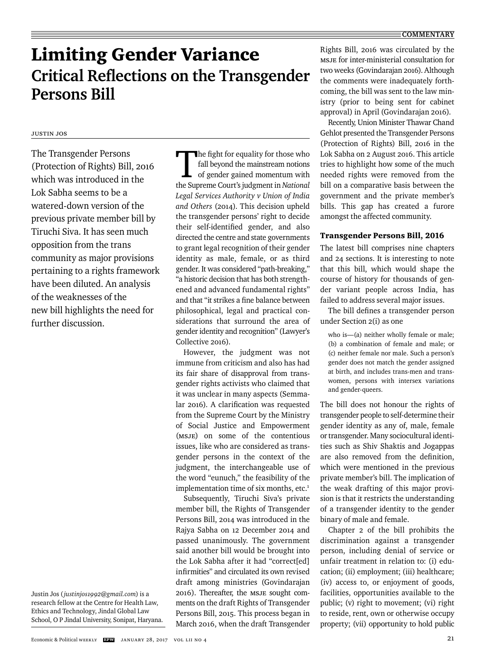# Limiting Gender Variance **Critical Reflections on the Transgender Persons Bill**

# Justin Jos

The Transgender Persons (Protection of Rights) Bill, 2016 which was introduced in the Lok Sabha seems to be a watered-down version of the previous private member bill by Tiruchi Siva. It has seen much opposition from the trans community as major provisions pertaining to a rights framework have been diluted. An analysis of the weaknesses of the new bill highlights the need for further discussion.

Justin Jos (*justinjos1992@gmail.com*) is a research fellow at the Centre for Health Law, Ethics and Technology, Jindal Global Law School, O P Jindal University, Sonipat, Haryana.

The fight for equality for those who<br>
fall beyond the mainstream notions<br>
of gender gained momentum with<br>
the Suprame Court's judgment in National fall beyond the mainstream notions the Supreme Court's judgment in *National Legal Services Authority v Union of India and Others* (2014). This decision upheld the transgender persons' right to decide their self-identified gender, and also directed the centre and state governments to grant legal recognition of their gender identity as male, female, or as third gender. It was considered "path-breaking," "a historic decision that has both strengthened and advanced fundamental rights" and that "it strikes a fine balance between philoso phical, legal and practical considerations that surround the area of gender identity and recognition" (Lawyer's Collective 2016).

However, the judgment was not immune from criticism and also has had its fair share of disapproval from transgender rights activists who claimed that it was unclear in many aspects (Semmalar 2016). A clarification was requested from the Supreme Court by the Ministry of Social Justice and Empowerment (MSJE) on some of the contentious issues, like who are considered as transgender persons in the context of the judgment, the interchangeable use of the word "eunuch," the feasibility of the implementation time of six months, etc.<sup>1</sup>

Subsequently, Tiruchi Siva's private member bill, the Rights of Transgender Persons Bill, 2014 was introduced in the Rajya Sabha on 12 December 2014 and passed unanimously. The government said another bill would be brought into the Lok Sabha after it had "correct[ed] infirmities" and circulated its own revised draft among ministries (Govindarajan 2016). Thereafter, the MSJE sought comments on the draft Rights of Transgender Persons Bill, 2015. This process began in March 2016, when the draft Transgender Rights Bill, 2016 was circulated by the MSJE for inter-ministerial consultation for two weeks (Govindarajan 2016). Although the comments were inadequately forthcoming, the bill was sent to the law ministry (prior to being sent for cabinet approval) in April (Govindarajan 2016).

Recently, Union Minister Thawar Chand Gehlot presented the Transgender Persons (Protection of Rights) Bill, 2016 in the Lok Sabha on 2 August 2016. This article tries to highlight how some of the much needed rights were removed from the bill on a comparative basis between the government and the private member's bills. This gap has created a furore amongst the affected community.

## Transgender Persons Bill, 2016

The latest bill comprises nine chapters and 24 sections. It is interesting to note that this bill, which would shape the course of history for thousands of gender variant people across India, has failed to address several major issues.

The bill defines a transgender person under Section 2(i) as one

who is—(a) neither wholly female or male; (b) a combination of female and male; or (c) neither female nor male. Such a person's gender does not match the gender assigned at birth, and includes trans-men and transwomen, persons with intersex variations and gender-queers.

The bill does not honour the rights of transgender people to self-determine their gender identity as any of, male, female or transgender. Many sociocultural identities such as Shiv Shaktis and Jogappas are also removed from the definition. which were mentioned in the previous private member's bill. The implication of the weak drafting of this major provision is that it restricts the understanding of a transgender identity to the gender binary of male and female.

Chapter 2 of the bill prohibits the discrimination against a transgender person, including denial of service or unfair treatment in relation to: (i) education; (ii) employment; (iii) healthcare; (iv) access to, or enjoyment of goods, facilities, opportunities available to the public; (v) right to movement; (vi) right to reside, rent, own or otherwise occupy property; (vii) opportunity to hold public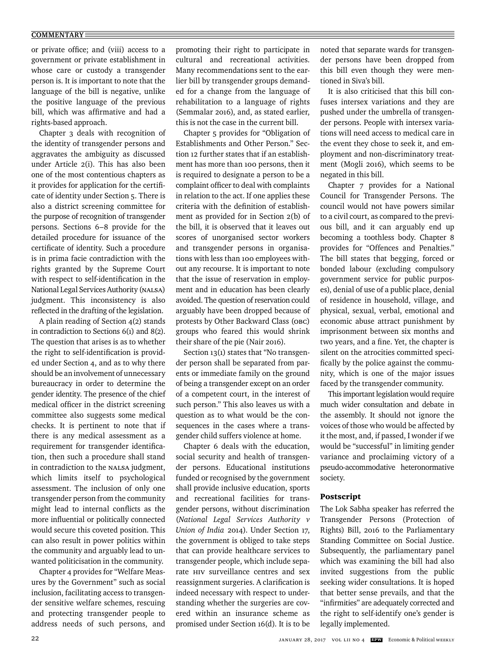#### **COMMENTARY**

or private office; and (viii) access to a government or private establishment in whose care or custody a transgender person is. It is important to note that the language of the bill is negative, unlike the positive language of the previous bill, which was affirmative and had a rights-based approach.

Chapter 3 deals with recognition of the identity of transgender persons and aggravates the ambiguity as discussed under Article 2(i). This has also been one of the most contentious chapters as it provides for application for the certificate of identity under Section 5. There is also a district screening committee for the purpose of recognition of transgender persons. Sections 6–8 provide for the detailed procedure for issuance of the certificate of identity. Such a procedure is in prima facie contradiction with the rights granted by the Supreme Court with respect to self-identification in the National Legal Services Authority (NALSA) judgment. This inconsistency is also reflected in the drafting of the legislation.

A plain reading of Section 4(2) stands in contradiction to Sections 6(1) and 8(2). The question that arises is as to whether the right to self-identification is provided under Section 4, and as to why there should be an involvement of unnecessary bureaucracy in order to determine the gender identity. The presence of the chief medical officer in the district screening committee also suggests some medical checks. It is pertinent to note that if there is any medical assessment as a requirement for transgender identification, then such a procedure shall stand in contradiction to the NALSA judgment, which limits itself to psychological assessment. The inclusion of only one transgender person from the community might lead to internal conflicts as the more influential or politically connected would secure this coveted position. This can also result in power politics within the community and arguably lead to unwanted politicisation in the community.

Chapter 4 provides for "Welfare Measures by the Government" such as social inclusion, facilitating access to transgender sensitive welfare schemes, rescuing and protecting transgender people to address needs of such persons, and

promoting their right to participate in cultural and recreational activities. Many recommendations sent to the earlier bill by transgender groups demanded for a change from the language of rehabilitation to a language of rights (Semmalar 2016), and, as stated earlier, this is not the case in the current bill.

Chapter 5 provides for "Obligation of Establishments and Other Person." Section 12 further states that if an establishment has more than 100 persons, then it is required to designate a person to be a complaint officer to deal with complaints in relation to the act. If one applies these criteria with the definition of establishment as provided for in Section 2(b) of the bill, it is observed that it leaves out scores of unorganised sector workers and transgender persons in organisations with less than 100 employees without any recourse. It is important to note that the issue of reservation in employment and in education has been clearly avoided. The question of reservation could arguably have been dropped because of protests by Other Backward Class (OBC) groups who feared this would shrink their share of the pie (Nair 2016).

Section 13(1) states that "No transgender person shall be separated from parents or immediate family on the ground of being a transgender except on an order of a competent court, in the interest of such person." This also leaves us with a question as to what would be the consequences in the cases where a transgender child suffers violence at home.

Chapter 6 deals with the education, social security and health of transgender persons. Educational institutions funded or recognised by the government shall provide inclusive education, sports and recreational facilities for transgender persons, without discrimination (*National Legal Services Authority v Union of India* 2014). Under Section 17, the government is obliged to take steps that can provide healthcare services to transgender people, which include separate HIV surveillance centres and sex reassignment surgeries. A clarification is indeed necessary with respect to understanding whether the surgeries are covered within an insurance scheme as promised under Section 16(d). It is to be noted that separate wards for transgender persons have been dropped from this bill even though they were mentioned in Siva's bill.

It is also criticised that this bill confuses intersex variations and they are pushed under the umbrella of transgender persons. People with intersex variations will need access to medical care in the event they chose to seek it, and employment and non-discriminatory treatment (Mogli 2016), which seems to be negated in this bill.

Chapter 7 provides for a National Council for Transgender Persons. The council would not have powers similar to a civil court, as compared to the previous bill, and it can arguably end up becoming a toothless body. Chapter 8 provides for "Offences and Penalties." The bill states that begging, forced or bonded labour (excluding compulsory government service for public purposes), denial of use of a public place, denial of residence in household, village, and physical, sexual, verbal, emotional and economic abuse attract punishment by imprisonment between six months and two years, and a fine. Yet, the chapter is silent on the atrocities committed specifically by the police against the community, which is one of the major issues faced by the transgender community.

This important legislation would require much wider consultation and debate in the assembly. It should not ignore the voices of those who would be affected by it the most, and, if passed, I wonder if we would be "successful" in limiting gender variance and proclaiming victory of a pseudo-accommodative heteronormative society.

### Postscript

The Lok Sabha speaker has referred the Transgender Persons (Protection of Rights) Bill, 2016 to the Parliamentary Standing Committee on Social Justice. Subsequently, the parliamentary panel which was examining the bill had also invited suggestions from the public seeking wider consultations. It is hoped that better sense prevails, and that the "infirmities" are adequately corrected and the right to self-identify one's gender is legally implemented.